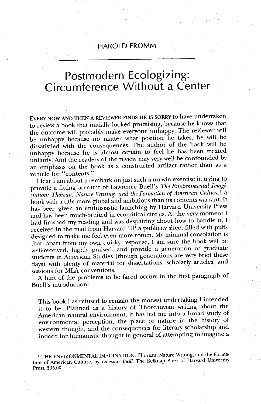## HAROLD FROMM

## Postmodern Ecologizing: Circumference Without a Center

EVERY NOW AND THEN A REVIEWER FINDS HE IS SORRY to have undertaken to review a book that initially looked promising, because he knows that the outcome will probably make everyone unhappy. The reviewer will be unhappy because no matter what position he takes, he will be dissatisfied with the consequences. The author of the book will be unhappy because he is almost certain to feel he has been treated unfairly. And the readers of the review may very well be confounded by an emphasis on the book as a constructed artifact rather than as a vehicle for "contents."

I fear I am about to embark on just such a no-win exercise in trying to provide a fitting account of Lawrence Buell's The Environmental Imagination: Thoreau, Nature Writing, and the Formation of American Culture,<sup>1</sup> a book with a title more global and ambitious than its contents warrant. It has been given an enthusiastic launching by Harvard University Press and has been much-bruited in ecocritical circles. At the very moment I had finished my reading and was despairing about how to handle it, I received in the mail from Harvard UP a publicity sheet filled with puffs designed to make me feel even more rotten. My minimal consolation is that, apart from my own quirky response, I am sure the book will be well-received, highly praised, and provide a generation of graduate students in American Studies (though generations are very brief these days) with plenty of material for dissertations, scholarly articles, and sessions for MLA conventions.

A hint of the problems to be faced occurs in the first paragraph of Buell's introduction:

This book has refused to remain the modest undertaking I intended it to be. Planned as a history of Thoreauvian writing about the American natural environment, it has led me into a broad study of environmental perception, the place of nature in the history of western thought, and the consequences for literary scholarship and indeed for humanistic thought in general of attempting to imagine a

<sup>1</sup> THE ENVIRONMENTAL IMAGINATION: Thoreau, Nature Writing, and the Formation of American Culture, by Lawrence Buell. The Belknap Press of Harvard University Press. \$35.00.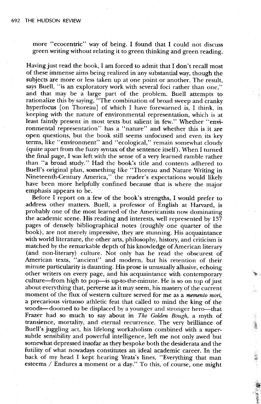more "ecocentric" way of being. I found that I could not discuss green writing without relating it to green thinking and green reading.

Having just read the book, I am forced to admit that I don't recall most of these immense aims being realized in any substantial way, though the subjects are more or less taken up at one point or another. The result, says Buell, "is an exploratory work with several foci rather than one," and that may be a large part of the problem. Buell attemprs to rationalize this by saying, "The combination of broad sweep and cranky hyperfocus  $[on]$  Thoreau] of which I have forewarned is, I think, in keeping with the nature of environmental representation, which is at least faintly present in most texts but salient in few." Whether "environmental representation" has a "nature" and whether this is it are open questions, but the book still seems unfocused and even its key terms, like "environment" and "ecological," remain somewhat cloudy (quite apart from the fuzzy syntax of the sentence itself). When I turned the final page, I was left with the sense of a very learned ramble rather than "a broad study." Had the book's title and contents adhered to Buell's original plan, something like "Thoreau and Nature Writing in Nineteenth-Century America," the reader's expectations would likely have been more helpfully confined because that is where the major emphasis appears to be.

Before I report on a few of the book's strengths, I would prefer to address other matters. Buell, a professor of English at Harvard, is probably one of the most learned of the Americanists now dominating the academic scene. His reading and interests, well represented by 137 pages of densely bibliographical notes (roughly one quarter of the book) , are not merely impressive, they are stunning. His acquaintance with world literature, the other arts, philosophy, history, and criticism is matched by the remarkable depth of his knowledge of American literary (and non-literary) culture. Not only has he read the obscurest of American texts, "ancient" and modern, but his retention of their minute particularity is daunting. His prose is unusually allusive, echoing other writers on every page, and his acquaintance with contemporary culture—from high to pop—is up-to-the-minute. He is so on top of just about everything that, perverse as it may seem, his mastery of the current moment of the flux of western culture served for me as a memento mori, a precarious virtuoso athletic feat that called to mind the king of the woods—doomed to be displaced by a younger and stronger hero—that Frazer had so much to say about in The Golden Bough, a myth of transience, mortality, and eternal recurrence. The very brilliance of Buell's juggling act, his lifelong workaholism combined with a supersubtle sensibility and powerful intelligence, left me not only awed but somewhat depressed insofar as they bespoke both the desiderata and the futility of what nowadays constitutes an ideal academic career. In the back of my head I kept hearing Yeats's lines, "Everything that man esteems / Endures a moment or a day." To this, of course, one might

=

,\$\$ .;.r : +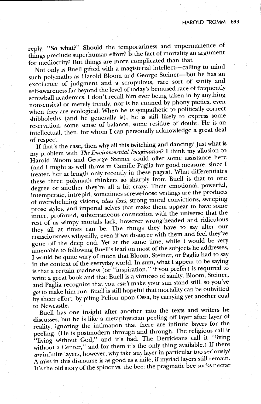reply, "So what?" Should the temporariness and impermanence of things preclude superhuman effort? Is the fact of mortality an argument for mediocrity? But things are more complicated than that.

Not only is Buell gifted with a magisterial intellect-calling to mind such polymaths as Harold Bloom and George Steiner-but he has an excellence of judgment and a scrupulous, rare sort of sanity and self-awareness far beyond the level of today's bemused race of frequently screwball academics. I don't recall him ever being taken in by anything nonsensical or merely trendy, nor is he conned by phony pieties, even when they are ecological. When he is sympathetic to politically correct shibboleths (and he generally is), he is still likely to express some reservation, some sense of balance, some residue of doubt. He is an intellectual, then, for whom I can personally acknowledge a great deal of respect.

If that's the case, then why all this twitching and dancing? Just what is my problem with The Environmental Imagination? I think my allusion to Harold Bloom and George Steiner could offer some assistance here (and I might as well throw in Camille Paglia for good measure, since I treated her at length only recently in these pages). What differentiates these three polymath thinkers so sharply from Buell is that to one degree or another they're all a bit crazy. Their emotional, powerful, intemperate, intrepid, sometimes screws-loose writings are the products of overwhelming visions, idées fixes, strong moral convictions, sweeping prose styles, and imperial selves that make them appear to have some inner, profound, subterraneous connection with the universe that the rest of us wimpy mortals lack, however wrong-headed and ridiculous they all at times can be. The things they have to say alter our consciousness willy-nilly, even if we disagree with them and feel they've gone off the deep end. Yet at the same time, while I would be very amenable to following Buell's lead on most of the subjects he addresses, I would be quite wary of much that Bloom, Steiner, or Paglia had to say in the context of the everyday world. In sum, what I appear to be saying is that a certain madness (or "inspiration," if you prefer) is required to write a great book and that Buell is a virtuoso of sanity. Bloom, Steiner, and Paglia recognize that you can't make your sun stand still, so you've got to make him run. Buell is still hopeful that mortality can be outwitted by sheer effort, by piling Pelion upon Ossa, by carrying yet another coal to Newcastle.

Buell has one insight after another into the texts and writers he discusses, but he is like a metaphysician peeling off layer after layer of reality, ignoring the intimation that there are infinite layers for the peeling. (He is postmodern through and through. The religious call it "living without God," and it's bad. The Derrideans call it "living without a Center," and for them it's the only thing available.) If there are infinite layers, however, why take any layer in particular too seriously? A miss in this discourse is as good as a mile, if myriad layers still remain. It's the old story of the spider vs. the bee: the pragmatic bee sucks nectar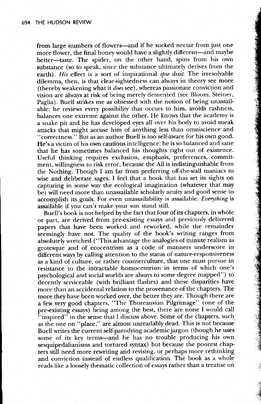from large numbers of flowers-and if he sucked nectar from just one more flower, the final honey would have a slightly different-and maybe better-taste. The spider, on the other hand, spins from his own substance (so to speak, since the substance ultimately derives from the earth). His effect is a sort of inspirational *ipse dixit*. The irresolvable dilemma, then, is that clear-sightedness can always in theory see more (thereby weakening what it does see), whereas passionate conviction and vision are always at risk of being merely demented (see Bloom, Steiner, Paglia). Buell strikes me as obsessed with the notion of being unassailable: he reviews every possibility that occurs to him, avoids rashness, balances one extreme against the other. He knows that the academy is a snake pit and he has developed eyes all over his body to avoid sneak attacks that might accuse him of anything less than omniscience and "correctness." But as an author Buell is too self-aware for his own good. He's a victim of his own cautious intelligence: he is so balanced and sane that he has sometimes balanced his thoughts right out of existence. Useful thinking requires exclusion, emphasis, preferences, commitment, willingness to risk error, because the All is indistinguishable from the Nothing. Though I am far from preferring off-the-wall maniacs to wise and deliberate sages, I feel that a book that has set its sights on capturing in some way the ecological imagination (whatever that may be) will need more than unassailable scholarly acuity and good sense to accomplish its goals. For even unassailability is assailable. Everything is assailable if you can't make your sun stand still.

Buell's book is not helped by the fact that four of its chapters, in whole or part, are derived from pre-existing essays and previously delivered papers that have been worked and reworked, while the remainder seemingly have not. The quality of the book's writing ranges from absolutelywretched ("This advantage the analogies of minute realism as grotesque and of ecocentrism as a code of manners underscore in different ways by calling attention to the status of nature-responsiveness as a kind of culture, or rather counterculture, that one must pursue in resistance to the intractable homocentrism in terms of which one's psychological and social worlds are always to some degree mapped") to decently serviceable (with brilliant flashes) and these disparities have more than an accidental relation to the provenance of the chapters. The more they have been worked over, the better they are. Though there are a few very good chapters, "The Thoreauvian Pilgrimage" (one of the pre-existing essays) being among the best, there are none I would call "inspired" in the sense that I discuss above. Some of the chapters, such as the one on "place," are almost unreadably dead. This is not because Buell writes the current self-parodying academic jargon (though he uses some of its key terms—and he has no trouble producing his own sesquipedalianisms and tortured syntax) but because the poorest chapters still need more rewriting and revising, or perhaps more rethinking and conviction instead of endless qualification. The book as a whole reads like a loosely thematic collection of essays rather than a treatise on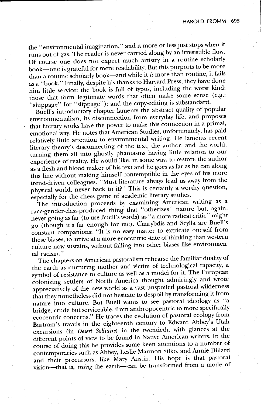the "environmental imagination," and it more or less just stops when it runs out of gas. The reader is never carried along by an irresistible flow. Of course one does not expect much artistry in a routine scholarly book-one is grateful for mere readability. But this purports to be more than a routine scholarly book—and while it is more than routine, it fails as a "book." Finally, despite his thanks to Harvard Press, they have done him little service: the book is full of typos, including the worst kind: those that form legitimate words that often make some sense (e.g.: "shippage" for "slippage"); and the copy-editing is substandard.

Buell's introductory chapter laments the abstract quality of popular environmentalism, its disconnection from everyday life, and proposes that literary works have the power to make this connection in a primal, emotional way. He notes that American Studies, unfortunately, has paid relatively little attention to environmental writing. He laments recent literary theory's disconnecting of the text, the author, and the world, turning them all into ghostly phantasms having little relation to our experience of reality. He would like, in some way, to restore the author as a flesh and blood maker of his text and he goes as far as he can along this line without making himself contemptible in the eyes of his more trend-driven colleagues. "Must literature always lead us away from the physical world, never back to it?" This is certainly a worthy question, especially for the chess game of academic literary studies.

The introduction proceeds by examining American writing as a race-gender-class-produced thing that "otherizes" nature but, again, never going as far (to use Buell's words) as "a more radical critic" might go (though it's far enough for me). Charybdis and Scylla are Buell's constant companions: "It is no easy matter to extricate oneself from these biases, to arrive at a more ecocentric state of thinking than western culture now sustains, without falling into other biases like environmental racism."

The chapters on American pastoralism rehearse the familiar duality of the earth as nurturing mother and victim of technological rapacity, a symbol of resistance to culture as well as a model for it. The European colonizing settlers of North America thought admiringly and wrote appreciatively of the new world as a vast unspoiled pastoral wilderness that they nonetheless did not hesitate to despoil by transforming it from nature into culture. But Buell wants to see pastoral ideology as "a bridge, crude but serviceable, from anthropocentric to more specifically ecocentric concerns." He traces the evolution of pastoral ecology from Bartram's travels in the eighteenth century to Edward Abbey's Utah excursions (in *Desert Solitaire*) in the twentieth, with glances at the different points of view to be found in Native American writers. In the course of doing this he provides some keen attentions to a number of contemporaries such as Abbey, Leslie Marmon Silko, and Annie Dillard and their precursors, like Mary Austin. His hope is that pastoral vision—that is, *seeing* the earth—can be transformed from a mode of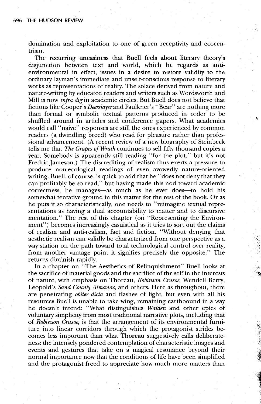domination and exploitation to one of green receptivity and ecocentrism.

The recurring uneasiness that Buell feels about literary theory's disjunction between text and world, which he regards as antienvironmental in effect, issues in a desire to restore validity to the ordinary layman's immediate and unself-conscious response to literary works as representations of reality. The solace derived from nature and nature-writing by educated readers and writers such as Wordsworth and Mill is now *infra dig* in academic circles. But Buell does not believe that fictions like Cooper's *Deerslayer* and Faulkner's "Bear" are nothing more than formal or symbolic textual patterns produced in order to be shuffled around in articles and conference papers. What academics would call "naive" responses are still the ones experienced by common readers (a dwindling breed) who read for pleasure rather than professional advancement. (A recent review of a new biography of Steinbeck tells me that The Grapes of Wrath continues to sell fifty thousand copies a year. Somebody is apparently still reading "for the plot," but it's not Fredric Jameson.) The discrediting of realism thus exerts a pressure to produce non-ecological readings of even avowedly nature-oriented writing. Buell, of course, is quick to add that he "does not deny that they can profitably be so read," but having made this nod toward academic correctness, he manages-as much as he ever does-to hold his somewhat tentative ground in this matter for the rest of the book. Or as he puts it so characteristically, one needs to "reimagine textual representations as having a dual accountability to matter and to discursive mentation." The rest of this chapter (on "Representing the Environment") becomes increasingly casuistical as it tries to sort out the claims of realism and anti-realism, fact and fiction. "Without denying that aesthetic realism can validly be characterized from one perspective as a way station on the path toward total technological control over reality, from another vantage point it signifies precisely the opposite." The returns diminish rapidly.

In a chapter on "The Aesthetics of Relinquishment" Buell looks at the sacrifice of material goods and the sacrifice of the self in the interests of nature, with emphasis on Thoreau, Robinson Crusoe, Wendell Berry, Leopold's Sand County Almanac, and others. Here as throughout, there are penetrating *obiter dicta* and flashes of light, but even with all his resources Buell is unable to take wing, remaining earthbound in a way he doesn't intend: "What distinguishes Walden and other epics of voluntary simplicity from most traditional narrative plots, including that of Robinson Crusoe, is that the arrangement of its environmental furniture into linear corridors through which the protagonist strides becomes Iess important than what Thoreau suggestively calls deliberateness: the intensely pondered contemplation of characteristic images and events and gestures that take on a magical resonance beyond their normal importance now that the conditions of life have been simplified and the protagonist freed to appreciate how much more matters than

{.

 $\bullet$ 

; :1.: 'r  $\ddot{\phantom{0}}$  $\sim$ .!e e

> **\$ 1999** ::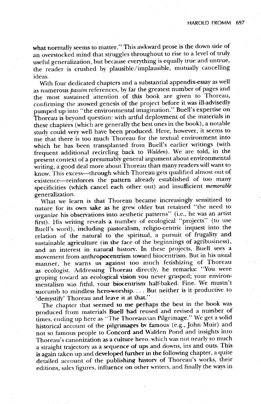what normally seems to matter." This awkward prose is the down side of an overstocked mind that struggles throughout to rise to a level of truly useful generalization, but because everything is equally true and untrue, the reader is crushed by plausible/implausible, mutually cancelling ideas.

with four dedicated chapters and a substantial appendix-essay as well as numerous passimreferences, by far the greatest number of pages and the most sustained attention of this book are given to Thoreau, confirming the avowed genesis of the project before it was ill-advisedly pumped up into "the environmental imagination." Buell's expertise on Thoreau is beyond question: with artful deployment of the materials in these chapters (which are generally the best ones in the book), a notable study could very well have been produced. Here, however, it seems to me that there is too much Thoreau for the textual environment into which he has been transplanted from Buell's earlier writings (with frequent additional recircling back to Walden). We are told, in the present context of a presumably general argument about environmental writing, a good deal more about Thoreau than many readers will want to know. This excess-through which Thoreau gets qualified almost out of existence-reinforces the pattern already established of too many specificities (which cancel each other out) and insufficient memorable generalization.

what we learn is that Thoreau became increasingly sensitized to nature for its own sake as he grew older but retained "the need to organize his obsenations into aesthetic patterns" (i.e., he was an artist first). His writing reveals a number of ecological "projects" (to use Bueil's word), including pastoralism, religio-centric inquest into the relation of the narural to the spiritual, a pursuit of frugality and sustainable agriculture (in the face of the beginnings of agribusiness), and an interest in natural history. In these projects, Buell sees a movement from anthropocentrism toward biocentrism. But in his usual manner, he warns us against too much fetishizing of Thoreau as ecologist. Addressing Thoreau directly, he remarks: "You were groping toward an ecological vision vou never grasped; your environmentalism was fitful, vour biocentrism half-baked. Fine. We mustn't succumb to mindless hero-worship. . . . But neither is it productive to 'demystify' Thoreau and leave it at that."

The chapter that seemed ro me perhaps the best in the book was produced from materials Buell had reused and revised a number of times, ending up here as "The Thoreauvian Pilgrimage." We get a solid historical account of the pilgrimages by famous (e.g., John Muir) and not so famous people to Concord and Walden Pond and insights into Thoreau's canonization as a culture hero. which was not nearly so much a straight trajectory as a sequence of ups and downs, ins and outs. This is again taken up and developed further in the following chapter, a quite detailed account of the publishing history of Thoreau's works, their editions, sales figures, influence on other writers, and finally the ways in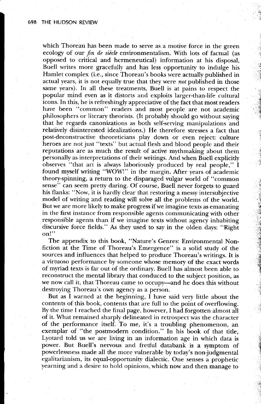which Thoreau has been made to serve as a motive force in the green ecology of our  $fn$  de siècle environmentalism. With lots of factual (as opposed to critical and hermeneutical) information at his disposal, Buell writes more gracefully and has less opportunity to indulge his Hamlet complex (i.e., since Thoreau's books were actually published in actual years, it is not equally true that they were *not* published in those same years). In all these treatments, Buell is at pains to respect the popular mind even as it distorts and exploits larger-than-life cultural icons. In this, he is refreshingly appreciative of the fact that most readers have been "common" readers and most people are not academic philosophers or literary theorists. (It probably should go without sayrng that he regards canonizations as both self-serving manipulations and relatively disinterested idealizations.) He therefore stresses a fact that post-deconstructive theoreticians play down or even reject: culture heroes are not just "texts" but actual flesh and blood people and their reputations are as much the result of active mythmaking about them personally as interpretations of their writings. And when Buell explicitly observes "that art is always laboriously produced by real people," I found myself writing "WOW!" in the margin. After years of academic theory-spinning, a return to the disparaged vulgar world of "common sense" can seem pretty daring. Of course, Buell never forgets to guard his flanks: "Now, it is hardly clear that restoring a messy intersubjective model of writing and reading will solve all the problems of the world. But we are more likely to make progress if we imagine texts as emanating in the first instance from responsible agents communicating with other responsible agents than if we imagine texts without agency inhabiting discursive force fields." As they used to say in the olden days: "Right" on!"

The appendix to this book, "Nature's Genres: Environmental Nonfiction at the Time of Thoreau's Emergence" is a solid study of the sources and influences that helped to produce Thoreau's writings. It is a virtuoso performance by someone whose memory of the exact words of m1'riad texts is far out of the ordinary. Buell has almost been able to reconstruct the mental library that conduced to the subject position, as we now call it, that Thoreau came to occupy—and he does this without destroying Thoreau's own agency as a person.

But as I warned at the beginning, I have said very little about the contents of this book, contents that are full to the point of overflowing. By the time I reached the final page, however, I had forgotten almost all of it. What remained sharply delineated in retrospect was the character of the performance itself. To me, it's a troubling phenomenon, an exemplar of "the postmodern condition." In his book of that title, Lyotard told us we are living in an information age in which data is power. But Buell's nervous and fretful databank is a symptom of powerlessness made all the more mlnerable by today's non-judgmental egalitarianism, its equal-opportunity dialectic. One senses a prophetic yearning and a desire to hold opinions, which now and then manage to